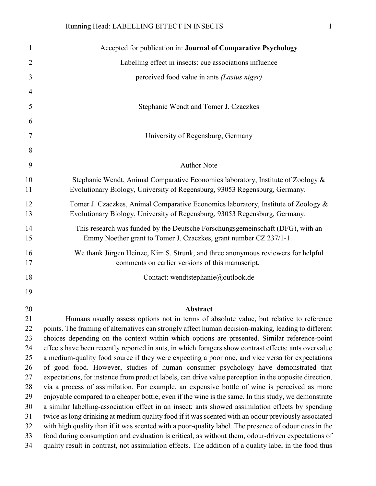| 1              | Accepted for publication in: Journal of Comparative Psychology                                                                                                                                        |
|----------------|-------------------------------------------------------------------------------------------------------------------------------------------------------------------------------------------------------|
| 2              | Labelling effect in insects: cue associations influence                                                                                                                                               |
| 3              | perceived food value in ants (Lasius niger)                                                                                                                                                           |
| $\overline{4}$ |                                                                                                                                                                                                       |
| 5              | Stephanie Wendt and Tomer J. Czaczkes                                                                                                                                                                 |
| 6              |                                                                                                                                                                                                       |
| 7              | University of Regensburg, Germany                                                                                                                                                                     |
|                |                                                                                                                                                                                                       |
| 8              |                                                                                                                                                                                                       |
| 9              | <b>Author Note</b>                                                                                                                                                                                    |
| 10<br>11       | Stephanie Wendt, Animal Comparative Economics laboratory, Institute of Zoology &<br>Evolutionary Biology, University of Regensburg, 93053 Regensburg, Germany.                                        |
| 12<br>13       | Tomer J. Czaczkes, Animal Comparative Economics laboratory, Institute of Zoology &<br>Evolutionary Biology, University of Regensburg, 93053 Regensburg, Germany.                                      |
| 14<br>15       | This research was funded by the Deutsche Forschungsgemeinschaft (DFG), with an<br>Emmy Noether grant to Tomer J. Czaczkes, grant number CZ 237/1-1.                                                   |
| 16<br>17       | We thank Jürgen Heinze, Kim S. Strunk, and three anonymous reviewers for helpful<br>comments on earlier versions of this manuscript.                                                                  |
| 18             | Contact: wendtstephanie@outlook.de                                                                                                                                                                    |
| 19             |                                                                                                                                                                                                       |
| 20             | Abstract                                                                                                                                                                                              |
| 21             | Humans usually assess options not in terms of absolute value, but relative to reference                                                                                                               |
| 22             | points. The framing of alternatives can strongly affect human decision-making, leading to different                                                                                                   |
| 23             | choices depending on the context within which options are presented. Similar reference-point                                                                                                          |
| 24             | effects have been recently reported in ants, in which foragers show contrast effects: ants overvalue                                                                                                  |
| 25             | a medium-quality food source if they were expecting a poor one, and vice versa for expectations                                                                                                       |
| 26             | of good food. However, studies of human consumer psychology have demonstrated that                                                                                                                    |
| 27<br>28       | expectations, for instance from product labels, can drive value perception in the opposite direction,<br>via a process of assimilation. For example, an expensive bottle of wine is perceived as more |
| 29             | enjoyable compared to a cheaper bottle, even if the wine is the same. In this study, we demonstrate                                                                                                   |
| 30             | a similar labelling-association effect in an insect: ants showed assimilation effects by spending                                                                                                     |
| 31             | twice as long drinking at medium quality food if it was scented with an odour previously associated                                                                                                   |
| 32             | with high quality than if it was scented with a poor-quality label. The presence of odour cues in the                                                                                                 |
| 33             | food during consumption and evaluation is critical, as without them, odour-driven expectations of                                                                                                     |
| 34             | quality result in contrast, not assimilation effects. The addition of a quality label in the food thus                                                                                                |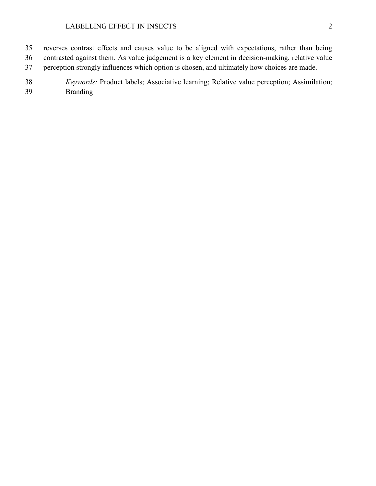- reverses contrast effects and causes value to be aligned with expectations, rather than being contrasted against them. As value judgement is a key element in decision-making, relative value perception strongly influences which option is chosen, and ultimately how choices are made.
- *Keywords:* Product labels; Associative learning; Relative value perception; Assimilation; Branding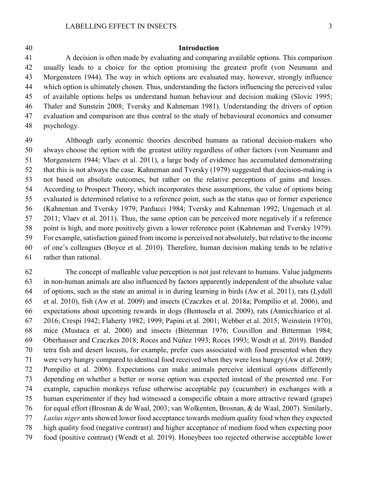## **Introduction**

 A decision is often made by evaluating and comparing available options. This comparison usually leads to a choice for the option promising the greatest profit (von Neumann and Morgenstern 1944). The way in which options are evaluated may, however, strongly influence which option is ultimately chosen. Thus, understanding the factors influencing the perceived value of available options helps us understand human behaviour and decision making (Slovic 1995; Thaler and Sunstein 2008; Tversky and Kahneman 1981). Understanding the drivers of option evaluation and comparison are thus central to the study of behavioural economics and consumer psychology.

 Although early economic theories described humans as rational decision-makers who always choose the option with the greatest utility regardless of other factors (von Neumann and Morgenstern 1944; Vlaev et al. 2011), a large body of evidence has accumulated demonstrating that this is not always the case. Kahneman and Tversky (1979) suggested that decision-making is not based on absolute outcomes, but rather on the relative perceptions of gains and losses. According to Prospect Theory, which incorporates these assumptions, the value of options being evaluated is determined relative to a reference point, such as the status quo or former experience (Kahneman and Tversky 1979; Parducci 1984; Tversky and Kahneman 1992; Ungemach et al. 2011; Vlaev et al. 2011). Thus, the same option can be perceived more negatively if a reference point is high, and more positively given a lower reference point (Kahneman and Tversky 1979). For example, satisfaction gained from income is perceived not absolutely, but relative to the income of one's colleagues (Boyce et al. 2010). Therefore, human decision making tends to be relative rather than rational.

 The concept of malleable value perception is not just relevant to humans. Value judgments in non-human animals are also influenced by factors apparently independent of the absolute value of options, such as the state an animal is in during learning in birds (Aw et al. 2011), rats (Lydall et al. 2010), fish (Aw et al. 2009) and insects (Czaczkes et al. 2018a; Pompilio et al. 2006), and expectations about upcoming rewards in dogs (Bentosela et al. 2009), rats (Annicchiarico et al. 2016; Crespi 1942; Flaherty 1982; 1999; Papini et al. 2001; Webber et al. 2015; Weinstein 1970), mice (Mustaca et al. 2000) and insects (Bitterman 1976; Couvillon and Bitterman 1984; Oberhauser and Czaczkes 2018; Roces and Núñez 1993; Roces 1993; Wendt et al. 2019). Banded tetra fish and desert locusts, for example, prefer cues associated with food presented when they were very hungry compared to identical food received when they were less hungry (Aw et al. 2009; Pompilio et al. 2006). Expectations can make animals perceive identical options differently depending on whether a better or worse option was expected instead of the presented one. For example, capuchin monkeys refuse otherwise acceptable pay (cucumber) in exchanges with a human experimenter if they had witnessed a conspecific obtain a more attractive reward (grape) for equal effort (Brosnan & de Waal, 2003; van Wolkenten, Brosnan, & de Waal, 2007). Similarly, *Lasius niger* ants showed lower food acceptance towards medium quality food when they expected high quality food (negative contrast) and higher acceptance of medium food when expecting poor food (positive contrast) (Wendt et al. 2019). Honeybees too rejected otherwise acceptable lower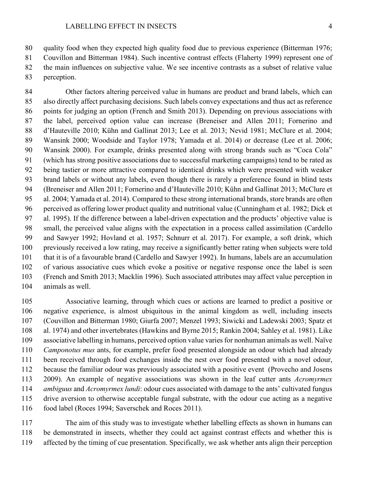quality food when they expected high quality food due to previous experience (Bitterman 1976;

 Couvillon and Bitterman 1984). Such incentive contrast effects (Flaherty 1999) represent one of the main influences on subjective value. We see incentive contrasts as a subset of relative value

perception.

 Other factors altering perceived value in humans are product and brand labels, which can also directly affect purchasing decisions. Such labels convey expectations and thus act as reference points for judging an option (French and Smith 2013). Depending on previous associations with the label, perceived option value can increase (Breneiser and Allen 2011; Fornerino and d'Hauteville 2010; Kühn and Gallinat 2013; Lee et al. 2013; Nevid 1981; McClure et al. 2004; Wansink 2000; Woodside and Taylor 1978; Yamada et al. 2014) or decrease (Lee et al. 2006; Wansink 2000). For example, drinks presented along with strong brands such as "Coca Cola" (which has strong positive associations due to successful marketing campaigns) tend to be rated as being tastier or more attractive compared to identical drinks which were presented with weaker brand labels or without any labels, even though there is rarely a preference found in blind tests (Breneiser and Allen 2011; Fornerino and d'Hauteville 2010; Kühn and Gallinat 2013; McClure et al. 2004; Yamada et al. 2014). Compared to these strong international brands, store brands are often perceived as offering lower product quality and nutritional value (Cunningham et al. 1982; Dick et al. 1995). If the difference between a label-driven expectation and the products' objective value is small, the perceived value aligns with the expectation in a process called assimilation (Cardello and Sawyer 1992; Hovland et al. 1957; Schnurr et al. 2017). For example, a soft drink, which previously received a low rating, may receive a significantly better rating when subjects were told that it is of a favourable brand (Cardello and Sawyer 1992). In humans, labels are an accumulation of various associative cues which evoke a positive or negative response once the label is seen (French and Smith 2013; Macklin 1996). Such associated attributes may affect value perception in animals as well.

 Associative learning, through which cues or actions are learned to predict a positive or negative experience, is almost ubiquitous in the animal kingdom as well, including insects (Couvillon and Bitterman 1980; Giurfa 2007; Menzel 1993; Siwicki and Ladewski 2003; Spatz et al. 1974) and other invertebrates (Hawkins and Byrne 2015; Rankin 2004; Sahley et al. 1981). Like associative labelling in humans, perceived option value varies for nonhuman animals as well. Naïve *Camponotus mus* ants, for example, prefer food presented alongside an odour which had already been received through food exchanges inside the nest over food presented with a novel odour, because the familiar odour was previously associated with a positive event (Provecho and Josens 2009). An example of negative associations was shown in the leaf cutter ants *Acromyrmex ambiguus* and *Acromyrmex lundi*: odour cues associated with damage to the ants' cultivated fungus drive aversion to otherwise acceptable fungal substrate, with the odour cue acting as a negative food label (Roces 1994; Saverschek and Roces 2011).

 The aim of this study was to investigate whether labelling effects as shown in humans can be demonstrated in insects, whether they could act against contrast effects and whether this is affected by the timing of cue presentation. Specifically, we ask whether ants align their perception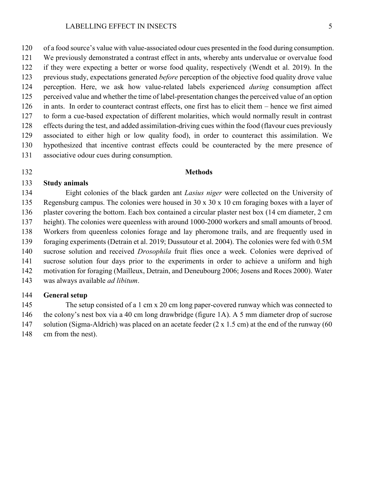of a food source's value with value-associated odour cues presented in the food during consumption. We previously demonstrated a contrast effect in ants, whereby ants undervalue or overvalue food if they were expecting a better or worse food quality, respectively (Wendt et al. 2019). In the previous study, expectations generated *before* perception of the objective food quality drove value perception. Here, we ask how value-related labels experienced *during* consumption affect perceived value and whether the time of label-presentation changes the perceived value of an option in ants. In order to counteract contrast effects, one first has to elicit them – hence we first aimed to form a cue-based expectation of different molarities, which would normally result in contrast effects during the test, and added assimilation-driving cues within the food (flavour cues previously associated to either high or low quality food), in order to counteract this assimilation. We hypothesized that incentive contrast effects could be counteracted by the mere presence of associative odour cues during consumption.

## **Methods**

# **Study animals**

 Eight colonies of the black garden ant *Lasius niger* were collected on the University of Regensburg campus. The colonies were housed in 30 x 30 x 10 cm foraging boxes with a layer of plaster covering the bottom. Each box contained a circular plaster nest box (14 cm diameter, 2 cm height). The colonies were queenless with around 1000-2000 workers and small amounts of brood. Workers from queenless colonies forage and lay pheromone trails, and are frequently used in foraging experiments (Detrain et al. 2019; Dussutour et al. 2004). The colonies were fed with 0.5M sucrose solution and received *Drosophila* fruit flies once a week. Colonies were deprived of sucrose solution four days prior to the experiments in order to achieve a uniform and high motivation for foraging (Mailleux, Detrain, and Deneubourg 2006; Josens and Roces 2000). Water was always available *ad libitum*.

# **General setup**

 The setup consisted of a 1 cm x 20 cm long paper-covered runway which was connected to the colony's nest box via a 40 cm long drawbridge (figure 1A). A 5 mm diameter drop of sucrose solution (Sigma-Aldrich) was placed on an acetate feeder (2 x 1.5 cm) at the end of the runway (60 cm from the nest).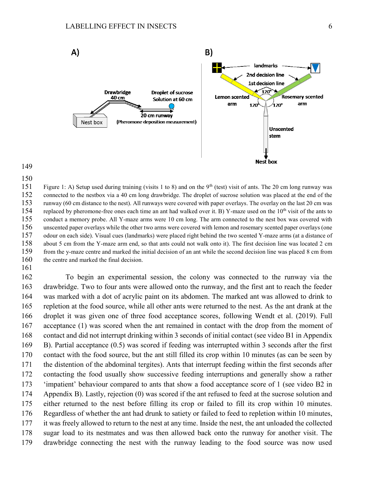



151 Figure 1: A) Setup used during training (visits 1 to 8) and on the 9<sup>th</sup> (test) visit of ants. The 20 cm long runway was connected to the nestbox via a 40 cm long drawbridge. The droplet of sucrose solution was placed at the end of the runway (60 cm distance to the nest). All runways were covered with paper overlays. The overlay on the last 20 cm was 154 replaced by pheromone-free ones each time an ant had walked over it. B) Y-maze used on the  $10<sup>th</sup>$  visit of the ants to conduct a memory probe. All Y-maze arms were 10 cm long. The arm connected to the nest box was covered with unscented paper overlays while the other two arms were covered with lemon and rosemary scented paper overlays (one odour on each side). Visual cues (landmarks) were placed right behind the two scented Y-maze arms (at a distance of about 5 cm from the Y-maze arm end, so that ants could not walk onto it). The first decision line was located 2 cm from the y-maze centre and marked the initial decision of an ant while the second decision line was placed 8 cm from 160 the centre and marked the final decision.

 To begin an experimental session, the colony was connected to the runway via the drawbridge. Two to four ants were allowed onto the runway, and the first ant to reach the feeder was marked with a dot of acrylic paint on its abdomen. The marked ant was allowed to drink to repletion at the food source, while all other ants were returned to the nest. As the ant drank at the droplet it was given one of three food acceptance scores, following Wendt et al. (2019). Full acceptance (1) was scored when the ant remained in contact with the drop from the moment of contact and did not interrupt drinking within 3 seconds of initial contact (see video B1 in Appendix B). Partial acceptance (0.5) was scored if feeding was interrupted within 3 seconds after the first contact with the food source, but the ant still filled its crop within 10 minutes (as can be seen by the distention of the abdominal tergites). Ants that interrupt feeding within the first seconds after contacting the food usually show successive feeding interruptions and generally show a rather 'impatient' behaviour compared to ants that show a food acceptance score of 1 (see video B2 in Appendix B). Lastly, rejection (0) was scored if the ant refused to feed at the sucrose solution and either returned to the nest before filling its crop or failed to fill its crop within 10 minutes. Regardless of whether the ant had drunk to satiety or failed to feed to repletion within 10 minutes, it was freely allowed to return to the nest at any time. Inside the nest, the ant unloaded the collected sugar load to its nestmates and was then allowed back onto the runway for another visit. The drawbridge connecting the nest with the runway leading to the food source was now used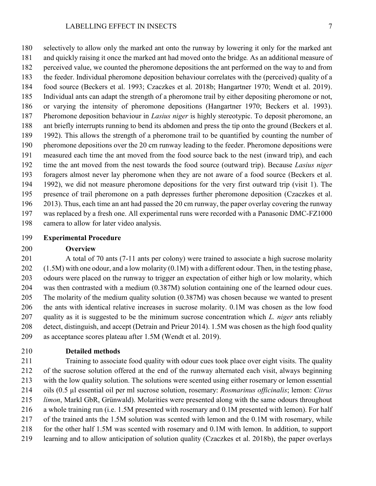selectively to allow only the marked ant onto the runway by lowering it only for the marked ant and quickly raising it once the marked ant had moved onto the bridge*.* As an additional measure of perceived value, we counted the pheromone depositions the ant performed on the way to and from the feeder. Individual pheromone deposition behaviour correlates with the (perceived) quality of a food source (Beckers et al. 1993; Czaczkes et al. 2018b; Hangartner 1970; Wendt et al. 2019). Individual ants can adapt the strength of a pheromone trail by either depositing pheromone or not, or varying the intensity of pheromone depositions (Hangartner 1970; Beckers et al. 1993). Pheromone deposition behaviour in *Lasius niger* is highly stereotypic. To deposit pheromone, an ant briefly interrupts running to bend its abdomen and press the tip onto the ground (Beckers et al. 1992). This allows the strength of a pheromone trail to be quantified by counting the number of pheromone depositions over the 20 cm runway leading to the feeder. Pheromone depositions were measured each time the ant moved from the food source back to the nest (inward trip), and each time the ant moved from the nest towards the food source (outward trip). Because *Lasius niger*  foragers almost never lay pheromone when they are not aware of a food source (Beckers et al. 1992), we did not measure pheromone depositions for the very first outward trip (visit 1). The presence of trail pheromone on a path depresses further pheromone deposition (Czaczkes et al. 2013). Thus, each time an ant had passed the 20 cm runway, the paper overlay covering the runway was replaced by a fresh one. All experimental runs were recorded with a Panasonic DMC-FZ1000 camera to allow for later video analysis.

# **Experimental Procedure**

## **Overview**

 A total of 70 ants (7-11 ants per colony) were trained to associate a high sucrose molarity (1.5M) with one odour, and a low molarity (0.1M) with a different odour. Then, in the testing phase, odours were placed on the runway to trigger an expectation of either high or low molarity, which was then contrasted with a medium (0.387M) solution containing one of the learned odour cues. The molarity of the medium quality solution (0.387M) was chosen because we wanted to present the ants with identical relative increases in sucrose molarity. 0.1M was chosen as the low food quality as it is suggested to be the minimum sucrose concentration which *L. niger* ants reliably detect, distinguish, and accept (Detrain and Prieur 2014). 1.5M was chosen as the high food quality as acceptance scores plateau after 1.5M (Wendt et al. 2019).

**Detailed methods**

 Training to associate food quality with odour cues took place over eight visits. The quality of the sucrose solution offered at the end of the runway alternated each visit, always beginning with the low quality solution. The solutions were scented using either rosemary or lemon essential oils (0.5 µl essential oil per ml sucrose solution, rosemary: *Rosmarinus officinalis*; lemon: *Citrus limon*, Markl GbR, Grünwald). Molarities were presented along with the same odours throughout a whole training run (i.e. 1.5M presented with rosemary and 0.1M presented with lemon). For half of the trained ants the 1.5M solution was scented with lemon and the 0.1M with rosemary, while for the other half 1.5M was scented with rosemary and 0.1M with lemon. In addition, to support learning and to allow anticipation of solution quality (Czaczkes et al. 2018b), the paper overlays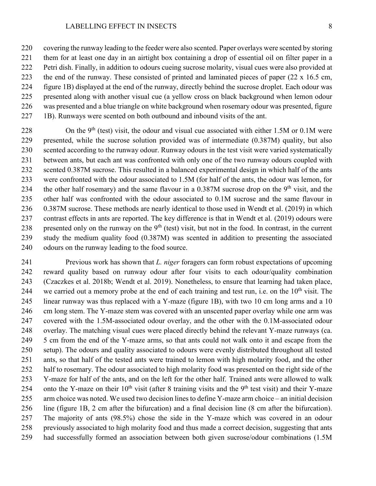covering the runway leading to the feeder were also scented. Paper overlays were scented by storing them for at least one day in an airtight box containing a drop of essential oil on filter paper in a Petri dish. Finally, in addition to odours cueing sucrose molarity, visual cues were also provided at the end of the runway. These consisted of printed and laminated pieces of paper (22 x 16.5 cm, figure 1B) displayed at the end of the runway, directly behind the sucrose droplet. Each odour was presented along with another visual cue (a yellow cross on black background when lemon odour was presented and a blue triangle on white background when rosemary odour was presented, figure 1B). Runways were scented on both outbound and inbound visits of the ant.

 $\qquad$  On the 9<sup>th</sup> (test) visit, the odour and visual cue associated with either 1.5M or 0.1M were presented, while the sucrose solution provided was of intermediate (0.387M) quality, but also scented according to the runway odour. Runway odours in the test visit were varied systematically between ants, but each ant was confronted with only one of the two runway odours coupled with scented 0.387M sucrose. This resulted in a balanced experimental design in which half of the ants were confronted with the odour associated to 1.5M (for half of the ants, the odour was lemon, for 234 the other half rosemary) and the same flavour in a 0.387M sucrose drop on the 9<sup>th</sup> visit, and the other half was confronted with the odour associated to 0.1M sucrose and the same flavour in 0.387M sucrose. These methods are nearly identical to those used in Wendt et al. (2019) in which contrast effects in ants are reported. The key difference is that in Wendt et al. (2019) odours were 238 presented only on the runway on the  $9<sup>th</sup>$  (test) visit, but not in the food. In contrast, in the current study the medium quality food (0.387M) was scented in addition to presenting the associated odours on the runway leading to the food source.

 Previous work has shown that *L. niger* foragers can form robust expectations of upcoming reward quality based on runway odour after four visits to each odour/quality combination (Czaczkes et al. 2018b; Wendt et al. 2019). Nonetheless, to ensure that learning had taken place, 244 we carried out a memory probe at the end of each training and test run, i.e. on the  $10<sup>th</sup>$  visit. The linear runway was thus replaced with a Y-maze (figure 1B), with two 10 cm long arms and a 10 cm long stem. The Y-maze stem was covered with an unscented paper overlay while one arm was covered with the 1.5M-associated odour overlay, and the other with the 0.1M-associated odour overlay. The matching visual cues were placed directly behind the relevant Y-maze runways (ca. 5 cm from the end of the Y-maze arms, so that ants could not walk onto it and escape from the setup). The odours and quality associated to odours were evenly distributed throughout all tested ants, so that half of the tested ants were trained to lemon with high molarity food, and the other half to rosemary. The odour associated to high molarity food was presented on the right side of the Y-maze for half of the ants, and on the left for the other half. Trained ants were allowed to walk 254 onto the Y-maze on their  $10^{th}$  visit (after 8 training visits and the 9<sup>th</sup> test visit) and their Y-maze arm choice was noted. We used two decision lines to define Y-maze arm choice – an initial decision line (figure 1B, 2 cm after the bifurcation) and a final decision line (8 cm after the bifurcation). The majority of ants (98.5%) chose the side in the Y-maze which was covered in an odour previously associated to high molarity food and thus made a correct decision, suggesting that ants had successfully formed an association between both given sucrose/odour combinations (1.5M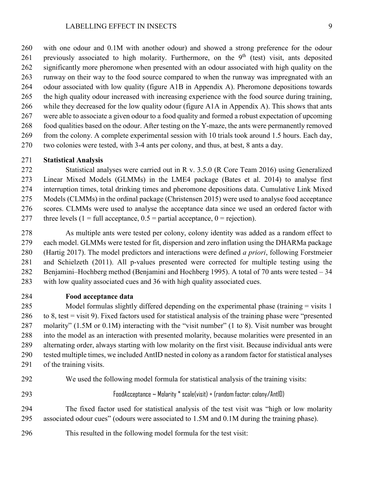with one odour and 0.1M with another odour) and showed a strong preference for the odour 261 previously associated to high molarity. Furthermore, on the 9<sup>th</sup> (test) visit, ants deposited 262 significantly more pheromone when presented with an odour associated with high quality on the runway on their way to the food source compared to when the runway was impregnated with an odour associated with low quality (figure A1B in Appendix A). Pheromone depositions towards the high quality odour increased with increasing experience with the food source during training, while they decreased for the low quality odour (figure A1A in Appendix A). This shows that ants were able to associate a given odour to a food quality and formed a robust expectation of upcoming food qualities based on the odour. After testing on the Y-maze, the ants were permanently removed from the colony. A complete experimental session with 10 trials took around 1.5 hours. Each day, two colonies were tested, with 3-4 ants per colony, and thus, at best, 8 ants a day.

# **Statistical Analysis**

 Statistical analyses were carried out in R v. 3.5.0 (R Core Team 2016) using Generalized Linear Mixed Models (GLMMs) in the LME4 package (Bates et al. 2014) to analyse first interruption times, total drinking times and pheromone depositions data. Cumulative Link Mixed Models (CLMMs) in the ordinal package (Christensen 2015) were used to analyse food acceptance scores. CLMMs were used to analyse the acceptance data since we used an ordered factor with 277 three levels  $(1 = full acceptance, 0.5 = partial acceptance, 0 = rejection)$ .

 As multiple ants were tested per colony, colony identity was added as a random effect to each model. GLMMs were tested for fit, dispersion and zero inflation using the DHARMa package (Hartig 2017). The model predictors and interactions were defined *a priori*, following Forstmeier and Schielzeth (2011). All p-values presented were corrected for multiple testing using the Benjamini–Hochberg method (Benjamini and Hochberg 1995). A total of 70 ants were tested – 34 with low quality associated cues and 36 with high quality associated cues.

**Food acceptance data**

285 Model formulas slightly differed depending on the experimental phase (training = visits 1 to 8, test = visit 9). Fixed factors used for statistical analysis of the training phase were "presented molarity" (1.5M or 0.1M) interacting with the "visit number" (1 to 8). Visit number was brought into the model as an interaction with presented molarity, because molarities were presented in an alternating order, always starting with low molarity on the first visit. Because individual ants were tested multiple times, we included AntID nested in colony as a random factor for statistical analyses of the training visits.

- We used the following model formula for statistical analysis of the training visits:
- 

FoodAcceptance ~ Molarity \* scale(visit) + (random factor: colony/AntID)

 The fixed factor used for statistical analysis of the test visit was "high or low molarity associated odour cues" (odours were associated to 1.5M and 0.1M during the training phase).

This resulted in the following model formula for the test visit: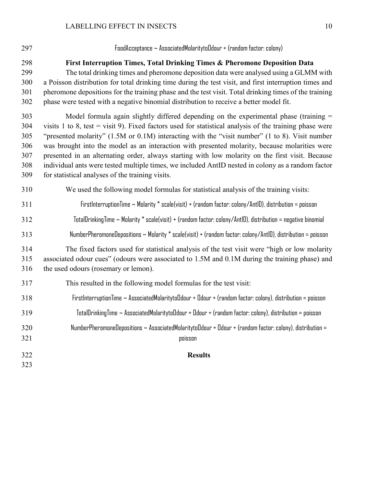| 297 | FoodAcceptance ~ AssociatedMolaritytoOdour + (random factor: colony)                                                  |
|-----|-----------------------------------------------------------------------------------------------------------------------|
| 298 | First Interruption Times, Total Drinking Times & Pheromone Deposition Data                                            |
| 299 | The total drinking times and pheromone deposition data were analysed using a GLMM with                                |
| 300 | a Poisson distribution for total drinking time during the test visit, and first interruption times and                |
| 301 | pheromone depositions for the training phase and the test visit. Total drinking times of the training                 |
| 302 | phase were tested with a negative binomial distribution to receive a better model fit.                                |
| 303 | Model formula again slightly differed depending on the experimental phase (training $=$                               |
| 304 | visits 1 to 8, test = visit 9). Fixed factors used for statistical analysis of the training phase were                |
| 305 | "presented molarity" $(1.5M \text{ or } 0.1M)$ interacting with the "visit number" $(1 \text{ to } 8)$ . Visit number |
| 306 | was brought into the model as an interaction with presented molarity, because molarities were                         |
| 307 | presented in an alternating order, always starting with low molarity on the first visit. Because                      |

 presented in an alternating order, always starting with low molarity on the first visit. Because individual ants were tested multiple times, we included AntID nested in colony as a random factor for statistical analyses of the training visits.

We used the following model formulas for statistical analysis of the training visits:

# FirstInterruptionTime ~ Molarity \* scale(visit) + (random factor: colony/AntID), distribution = poisson

TotalDrinkingTime ~ Molarity \* scale(visit) + (random factor: colony/AntID), distribution = negative binomial

# NumberPheromoneDepositions ~ Molarity \* scale(visit) + (random factor: colony/AntID), distribution = poisson

 The fixed factors used for statistical analysis of the test visit were "high or low molarity associated odour cues" (odours were associated to 1.5M and 0.1M during the training phase) and the used odours (rosemary or lemon).

# This resulted in the following model formulas for the test visit:

- FirstInterruptionTime ~ AssociatedMolaritytoOdour + Odour + (random factor: colony), distribution = poisson
- TotalDrinkingTime ~ AssociatedMolaritytoOdour + Odour + (random factor: colony), distribution = poisson

# NumberPheromoneDepositions ~ AssociatedMolaritytoOdour + Odour + (random factor: colony), distribution = poisson

- **Results**
-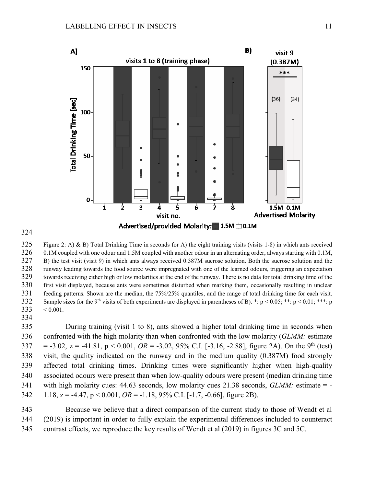

325 Figure 2: A) & B) Total Drinking Time in seconds for A) the eight training visits (visits 1-8) in which ants received 0.1M coupled with one odour and 1.5M coupled with another odour in an alternating order, always starting with 0.1M, B) the test visit (visit 9) in which ants always received 0.387M sucrose solution. Both the sucrose solution and the runway leading towards the food source were impregnated with one of the learned odours, triggering an expectation towards receiving either high or low molarities at the end of the runway. There is no data for total drinking time of the first visit displayed, because ants were sometimes disturbed when marking them, occasionally resulting in unclear feeding patterns. Shown are the median, the 75%/25% quantiles, and the range of total drinking time for each visit. Sample sizes for the 9<sup>th</sup> visits of both experiments are displayed in parentheses of B). \*: p < 0.05; \*\*: p < 0.01; \*\*\*: p  $333 \div 0.001$ .

 During training (visit 1 to 8), ants showed a higher total drinking time in seconds when confronted with the high molarity than when confronted with the low molarity (*GLMM:* estimate 337 = -3.02, z = -41.81, p < 0.001, *OR* = -3.02, 95% C.I. [-3.16, -2.88], figure 2A). On the 9<sup>th</sup> (test) visit, the quality indicated on the runway and in the medium quality (0.387M) food strongly affected total drinking times. Drinking times were significantly higher when high-quality associated odours were present than when low-quality odours were present (median drinking time with high molarity cues: 44.63 seconds, low molarity cues 21.38 seconds, *GLMM:* estimate = - 1.18, z = -4.47, p < 0.001, *OR* = -1.18, 95% C.I. [-1.7, -0.66], figure 2B).

 Because we believe that a direct comparison of the current study to those of Wendt et al (2019) is important in order to fully explain the experimental differences included to counteract contrast effects, we reproduce the key results of Wendt et al (2019) in figures 3C and 5C.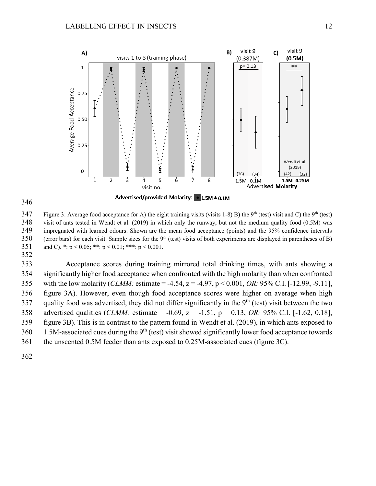



347 Figure 3: Average food acceptance for A) the eight training visits (visits 1-8) B) the 9<sup>th</sup> (test) visit and C) the 9<sup>th</sup> (test) visit of ants tested in Wendt et al. (2019) in which only the runway, but not the medium quality food (0.5M) was impregnated with learned odours. Shown are the mean food acceptance (points) and the 95% confidence intervals 350 (error bars) for each visit. Sample sizes for the  $9<sup>th</sup>$  (test) visits of both experiments are displayed in parentheses of B) 351 and C). \*:  $p < 0.05$ ; \*\*:  $p < 0.01$ ; \*\*\*:  $p < 0.001$ .

 Acceptance scores during training mirrored total drinking times, with ants showing a significantly higher food acceptance when confronted with the high molarity than when confronted with the low molarity (*CLMM:* estimate = -4.54, z = -4.97, p < 0.001, *OR:* 95% C.I. [-12.99, -9.11], figure 3A). However, even though food acceptance scores were higher on average when high 357 quality food was advertised, they did not differ significantly in the  $9<sup>th</sup>$  (test) visit between the two advertised qualities (*CLMM:* estimate = -0.69, z = -1.51, p = 0.13, *OR:* 95% C.I. [-1.62, 0.18], figure 3B). This is in contrast to the pattern found in Wendt et al. (2019), in which ants exposed to 1.5M-associated cues during the 9<sup>th</sup> (test) visit showed significantly lower food acceptance towards the unscented 0.5M feeder than ants exposed to 0.25M-associated cues (figure 3C).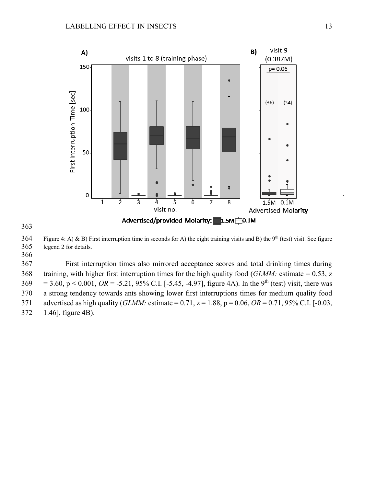



 Figure 4: A) & B) First interruption time in seconds for A) the eight training visits and B) the 9<sup>th</sup> (test) visit. See figure legend 2 for details.

 First interruption times also mirrored acceptance scores and total drinking times during training, with higher first interruption times for the high quality food (*GLMM:* estimate = 0.53, z  $369 = 3.60$ ,  $p < 0.001$ ,  $OR = -5.21$ ,  $95\%$  C.I. [-5.45, -4.97], figure 4A). In the 9<sup>th</sup> (test) visit, there was a strong tendency towards ants showing lower first interruptions times for medium quality food advertised as high quality (*GLMM:* estimate = 0.71, z = 1.88, p = 0.06, *OR* = 0.71, 95% C.I. [-0.03, 1.46], figure 4B).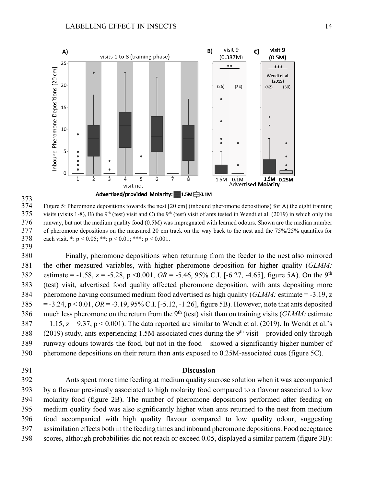

373<br>374 Figure 5: Pheromone depositions towards the nest  $[20 \text{ cm}]$  (inbound pheromone depositions) for A) the eight training 375 visits (visits 1-8), B) the 9<sup>th</sup> (test) visit and C) the 9<sup>th</sup> (test) visit of ants tested in Wendt et al. (2019) in which only the runway, but not the medium quality food (0.5M) was impregnated with learned odours. Shown are the median number of pheromone depositions on the measured 20 cm track on the way back to the nest and the 75%/25% quantiles for 378 each visit. \*:  $p < 0.05$ ; \*\*:  $p < 0.01$ ; \*\*\*:  $p < 0.001$ . 

 Finally, pheromone depositions when returning from the feeder to the nest also mirrored the other measured variables, with higher pheromone deposition for higher quality (*GLMM:* 382 estimate =  $-1.58$ ,  $z = -5.28$ ,  $p \le 0.001$ ,  $OR = -5.46$ , 95% C.I. [ $-6.27$ ,  $-4.65$ ], figure 5A). On the 9<sup>th</sup> (test) visit, advertised food quality affected pheromone deposition, with ants depositing more pheromone having consumed medium food advertised as high quality (*GLMM:* estimate = -3.19, z = -3.24, p < 0.01, *OR* = -3.19, 95% C.I. [-5.12, -1.26], figure 5B). However, note that ants deposited 386 much less pheromone on the return from the  $9<sup>th</sup>$  (test) visit than on training visits (*GLMM*: estimate  $387 = 1.15$ ,  $z = 9.37$ ,  $p < 0.001$ ). The data reported are similar to Wendt et al. (2019). In Wendt et al.'s 388 (2019) study, ants experiencing 1.5M-associated cues during the  $9<sup>th</sup>$  visit – provided only through runway odours towards the food, but not in the food – showed a significantly higher number of pheromone depositions on their return than ants exposed to 0.25M-associated cues (figure 5C).

## **Discussion**

 Ants spent more time feeding at medium quality sucrose solution when it was accompanied by a flavour previously associated to high molarity food compared to a flavour associated to low molarity food (figure 2B). The number of pheromone depositions performed after feeding on medium quality food was also significantly higher when ants returned to the nest from medium food accompanied with high quality flavour compared to low quality odour, suggesting assimilation effects both in the feeding times and inbound pheromone depositions. Food acceptance scores, although probabilities did not reach or exceed 0.05, displayed a similar pattern (figure 3B):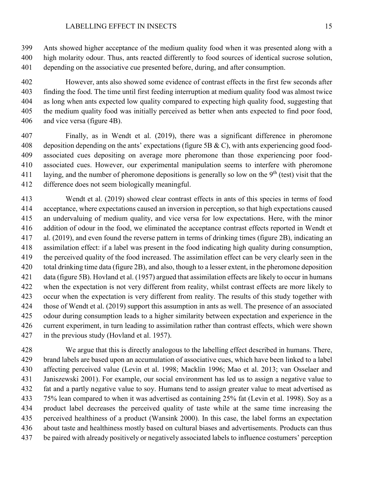Ants showed higher acceptance of the medium quality food when it was presented along with a high molarity odour. Thus, ants reacted differently to food sources of identical sucrose solution, depending on the associative cue presented before, during, and after consumption.

 However, ants also showed some evidence of contrast effects in the first few seconds after finding the food. The time until first feeding interruption at medium quality food was almost twice as long when ants expected low quality compared to expecting high quality food, suggesting that the medium quality food was initially perceived as better when ants expected to find poor food, and vice versa (figure 4B).

 Finally, as in Wendt et al. (2019), there was a significant difference in pheromone 408 deposition depending on the ants' expectations (figure 5B & C), with ants experiencing good food- associated cues depositing on average more pheromone than those experiencing poor food- associated cues. However, our experimental manipulation seems to interfere with pheromone 411 laying, and the number of pheromone depositions is generally so low on the  $9<sup>th</sup>$  (test) visit that the difference does not seem biologically meaningful.

 Wendt et al. (2019) showed clear contrast effects in ants of this species in terms of food acceptance, where expectations caused an inversion in perception, so that high expectations caused an undervaluing of medium quality, and vice versa for low expectations. Here, with the minor addition of odour in the food, we eliminated the acceptance contrast effects reported in Wendt et al. (2019), and even found the reverse pattern in terms of drinking times (figure 2B), indicating an assimilation effect: if a label was present in the food indicating high quality during consumption, the perceived quality of the food increased. The assimilation effect can be very clearly seen in the total drinking time data (figure 2B), and also, though to a lesser extent, in the pheromone deposition data (figure 5B). Hovland et al. (1957) argued that assimilation effects are likely to occur in humans when the expectation is not very different from reality, whilst contrast effects are more likely to occur when the expectation is very different from reality. The results of this study together with those of Wendt et al. (2019) support this assumption in ants as well. The presence of an associated odour during consumption leads to a higher similarity between expectation and experience in the current experiment, in turn leading to assimilation rather than contrast effects, which were shown in the previous study (Hovland et al. 1957).

 We argue that this is directly analogous to the labelling effect described in humans. There, brand labels are based upon an accumulation of associative cues, which have been linked to a label affecting perceived value (Levin et al. 1998; Macklin 1996; Mao et al. 2013; van Osselaer and Janiszewski 2001). For example, our social environment has led us to assign a negative value to fat and a partly negative value to soy. Humans tend to assign greater value to meat advertised as 75% lean compared to when it was advertised as containing 25% fat (Levin et al. 1998). Soy as a product label decreases the perceived quality of taste while at the same time increasing the perceived healthiness of a product (Wansink 2000). In this case, the label forms an expectation about taste and healthiness mostly based on cultural biases and advertisements. Products can thus be paired with already positively or negatively associated labels to influence costumers' perception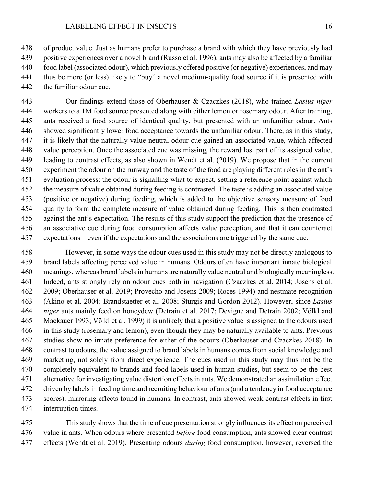of product value. Just as humans prefer to purchase a brand with which they have previously had positive experiences over a novel brand (Russo et al. 1996), ants may also be affected by a familiar food label (associated odour), which previously offered positive (or negative) experiences, and may thus be more (or less) likely to "buy" a novel medium-quality food source if it is presented with the familiar odour cue.

 Our findings extend those of Oberhauser & Czaczkes (2018), who trained *Lasius niger*  workers to a 1M food source presented along with either lemon or rosemary odour. After training, ants received a food source of identical quality, but presented with an unfamiliar odour. Ants showed significantly lower food acceptance towards the unfamiliar odour. There, as in this study, it is likely that the naturally value-neutral odour cue gained an associated value, which affected value perception. Once the associated cue was missing, the reward lost part of its assigned value, leading to contrast effects, as also shown in Wendt et al. (2019). We propose that in the current experiment the odour on the runway and the taste of the food are playing different roles in the ant's evaluation process: the odour is signalling what to expect, setting a reference point against which the measure of value obtained during feeding is contrasted. The taste is adding an associated value (positive or negative) during feeding, which is added to the objective sensory measure of food quality to form the complete measure of value obtained during feeding. This is then contrasted against the ant's expectation. The results of this study support the prediction that the presence of an associative cue during food consumption affects value perception, and that it can counteract expectations – even if the expectations and the associations are triggered by the same cue.

 However, in some ways the odour cues used in this study may not be directly analogous to brand labels affecting perceived value in humans. Odours often have important innate biological meanings, whereas brand labels in humans are naturally value neutral and biologically meaningless. Indeed, ants strongly rely on odour cues both in navigation (Czaczkes et al. 2014; Josens et al. 2009; Oberhauser et al. 2019; Provecho and Josens 2009; Roces 1994) and nestmate recognition (Akino et al. 2004; Brandstaetter et al. 2008; Sturgis and Gordon 2012). However, since *Lasius niger* ants mainly feed on honeydew (Detrain et al. 2017; Devigne and Detrain 2002; Völkl and Mackauer 1993; Völkl et al. 1999) it is unlikely that a positive value is assigned to the odours used in this study (rosemary and lemon), even though they may be naturally available to ants. Previous studies show no innate preference for either of the odours (Oberhauser and Czaczkes 2018). In contrast to odours, the value assigned to brand labels in humans comes from social knowledge and marketing, not solely from direct experience. The cues used in this study may thus not be the completely equivalent to brands and food labels used in human studies, but seem to be the best alternative for investigating value distortion effects in ants. We demonstrated an assimilation effect driven by labels in feeding time and recruiting behaviour of ants (and a tendency in food acceptance scores), mirroring effects found in humans. In contrast, ants showed weak contrast effects in first interruption times.

 This study showsthat the time of cue presentation strongly influences its effect on perceived value in ants. When odours where presented *before* food consumption, ants showed clear contrast effects (Wendt et al. 2019). Presenting odours *during* food consumption, however, reversed the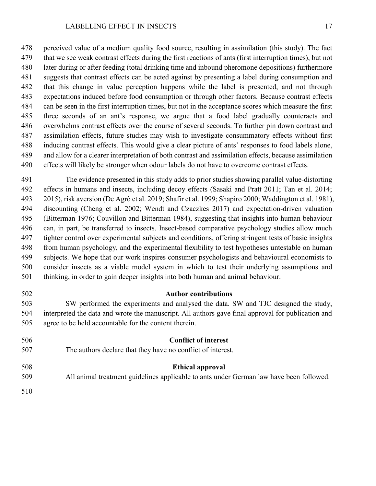perceived value of a medium quality food source, resulting in assimilation (this study). The fact that we see weak contrast effects during the first reactions of ants (first interruption times), but not later during or after feeding (total drinking time and inbound pheromone depositions) furthermore suggests that contrast effects can be acted against by presenting a label during consumption and that this change in value perception happens while the label is presented, and not through expectations induced before food consumption or through other factors. Because contrast effects can be seen in the first interruption times, but not in the acceptance scores which measure the first three seconds of an ant's response, we argue that a food label gradually counteracts and overwhelms contrast effects over the course of several seconds. To further pin down contrast and assimilation effects, future studies may wish to investigate consummatory effects without first inducing contrast effects. This would give a clear picture of ants' responses to food labels alone, and allow for a clearer interpretation of both contrast and assimilation effects, because assimilation effects will likely be stronger when odour labels do not have to overcome contrast effects.

 The evidence presented in this study adds to prior studies showing parallel value-distorting effects in humans and insects, including decoy effects (Sasaki and Pratt 2011; Tan et al. 2014; 2015), risk aversion (De Agrò et al. 2019; Shafir et al. 1999; Shapiro 2000; Waddington et al. 1981), discounting (Cheng et al. 2002; Wendt and Czaczkes 2017) and expectation-driven valuation (Bitterman 1976; Couvillon and Bitterman 1984), suggesting that insights into human behaviour can, in part, be transferred to insects. Insect-based comparative psychology studies allow much tighter control over experimental subjects and conditions, offering stringent tests of basic insights from human psychology, and the experimental flexibility to test hypotheses untestable on human subjects. We hope that our work inspires consumer psychologists and behavioural economists to consider insects as a viable model system in which to test their underlying assumptions and thinking, in order to gain deeper insights into both human and animal behaviour.

## **Author contributions**

 SW performed the experiments and analysed the data. SW and TJC designed the study, interpreted the data and wrote the manuscript. All authors gave final approval for publication and agree to be held accountable for the content therein.

| 506 | <b>Conflict of interest</b>                                                             |
|-----|-----------------------------------------------------------------------------------------|
| 507 | The authors declare that they have no conflict of interest.                             |
| 508 | <b>Ethical approval</b>                                                                 |
| 509 | All animal treatment guidelines applicable to ants under German law have been followed. |
| 510 |                                                                                         |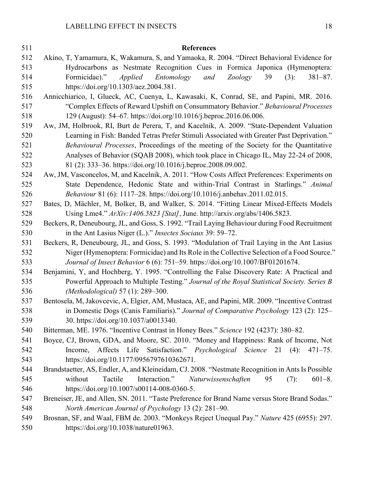| 511        | <b>References</b>                                                                                                                  |
|------------|------------------------------------------------------------------------------------------------------------------------------------|
| 512        | Akino, T, Yamamura, K, Wakamura, S, and Yamaoka, R. 2004. "Direct Behavioral Evidence for                                          |
| 513        | Hydrocarbons as Nestmate Recognition Cues in Formica Japonica (Hymenoptera:                                                        |
| 514        | Formicidae)."<br><i>Applied</i><br>Entomology<br>and<br><b>Zoology</b><br>39<br>(3):<br>$381 - 87.$                                |
| 515        | https://doi.org/10.1303/aez.2004.381.                                                                                              |
| 516        | Annicchiarico, I, Glueck, AC, Cuenya, L, Kawasaki, K, Conrad, SE, and Papini, MR. 2016.                                            |
| 517        | "Complex Effects of Reward Upshift on Consummatory Behavior." Behavioural Processes                                                |
| 518        | 129 (August): 54–67. https://doi.org/10.1016/j.beproc.2016.06.006.                                                                 |
| 519        | Aw, JM, Holbrook, RI, Burt de Perera, T, and Kacelnik, A. 2009. "State-Dependent Valuation                                         |
| 520        | Learning in Fish: Banded Tetras Prefer Stimuli Associated with Greater Past Deprivation."                                          |
| 521        | Behavioural Processes, Proceedings of the meeting of the Society for the Quantitative                                              |
| 522        | Analyses of Behavior (SQAB 2008), which took place in Chicago IL, May 22-24 of 2008,                                               |
| 523        | 81 (2): 333-36. https://doi.org/10.1016/j.beproc.2008.09.002.                                                                      |
| 524        | Aw, JM, Vasconcelos, M, and Kacelnik, A. 2011. "How Costs Affect Preferences: Experiments on                                       |
| 525        | State Dependence, Hedonic State and within-Trial Contrast in Starlings." Animal                                                    |
| 526        | Behaviour 81 (6): 1117-28. https://doi.org/10.1016/j.anbehav.2011.02.015.                                                          |
| 527        | Bates, D, Mächler, M, Bolker, B, and Walker, S. 2014. "Fitting Linear Mixed-Effects Models                                         |
| 528        | Using Lme4." ArXiv:1406.5823 [Stat], June. http://arxiv.org/abs/1406.5823.                                                         |
| 529        | Beckers, R, Deneubourg, JL, and Goss, S. 1992. "Trail Laying Behaviour during Food Recruitment                                     |
| 530        | in the Ant Lasius Niger (L.)." <i>Insectes Sociaux</i> 39: 59–72.                                                                  |
| 531        | Beckers, R, Deneubourg, JL, and Goss, S. 1993. "Modulation of Trail Laying in the Ant Lasius                                       |
| 532        | Niger (Hymenoptera: Formicidae) and Its Role in the Collective Selection of a Food Source."                                        |
| 533        | Journal of Insect Behavior 6 (6): 751-59. https://doi.org/10.1007/BF01201674.                                                      |
| 534        | Benjamini, Y, and Hochberg, Y. 1995. "Controlling the False Discovery Rate: A Practical and                                        |
| 535        | Powerful Approach to Multiple Testing." Journal of the Royal Statistical Society. Series B                                         |
| 536        | (Methodological) 57 (1): 289-300.                                                                                                  |
| 537        | Bentosela, M, Jakovcevic, A, Elgier, AM, Mustaca, AE, and Papini, MR. 2009. "Incentive Contrast                                    |
| 538        | in Domestic Dogs (Canis Familiaris)." Journal of Comparative Psychology 123 (2): 125–                                              |
| 539        | 30. https://doi.org/10.1037/a0013340.                                                                                              |
| 540        | Bitterman, ME. 1976. "Incentive Contrast in Honey Bees." Science 192 (4237): 380-82.                                               |
| 541        | Boyce, CJ, Brown, GDA, and Moore, SC. 2010. "Money and Happiness: Rank of Income, Not                                              |
| 542        | Income, Affects Life Satisfaction." Psychological Science 21 (4):<br>$471 - 75.$                                                   |
| 543        | https://doi.org/10.1177/0956797610362671.                                                                                          |
| 544        | Brandstaetter, AS, Endler, A, and Kleineidam, CJ. 2008. "Nestmate Recognition in Ants Is Possible                                  |
| 545        | Tactile<br>Interaction."<br>without<br>Naturwissenschaften<br>(7):<br>$601 - 8.$<br>95                                             |
| 546        | https://doi.org/10.1007/s00114-008-0360-5.                                                                                         |
| 547        | Breneiser, JE, and Allen, SN. 2011. "Taste Preference for Brand Name versus Store Brand Sodas."                                    |
| 548        | North American Journal of Psychology 13 (2): 281–90.                                                                               |
| 549<br>550 | Brosnan, SF, and Waal, FBM de. 2003. "Monkeys Reject Unequal Pay." Nature 425 (6955): 297.<br>https://doi.org/10.1038/nature01963. |
|            |                                                                                                                                    |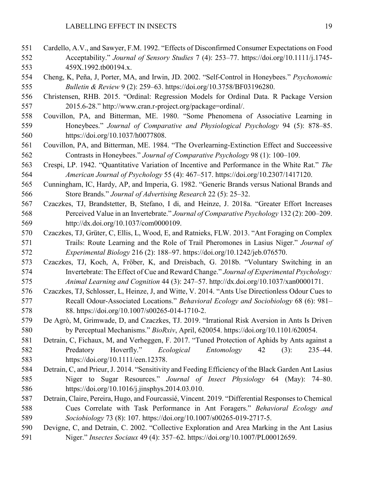- Cardello, A.V., and Sawyer, F.M. 1992. "Effects of Disconfirmed Consumer Expectations on Food Acceptability." *Journal of Sensory Studies* 7 (4): 253–77. https://doi.org/10.1111/j.1745- 459X.1992.tb00194.x.
- Cheng, K, Peña, J, Porter, MA, and Irwin, JD. 2002. "Self-Control in Honeybees." *Psychonomic Bulletin & Review* 9 (2): 259–63. https://doi.org/10.3758/BF03196280.
- Christensen, RHB. 2015. "Ordinal: Regression Models for Ordinal Data. R Package Version 2015.6-28." http://www.cran.r-project.org/package=ordinal/.
- Couvillon, PA, and Bitterman, ME. 1980. "Some Phenomena of Associative Learning in Honeybees." *Journal of Comparative and Physiological Psychology* 94 (5): 878–85. https://doi.org/10.1037/h0077808.
- Couvillon, PA, and Bitterman, ME. 1984. "The Overlearning-Extinction Effect and Succeessive Contrasts in Honeybees." *Journal of Comparative Psychology* 98 (1): 100–109.
- Crespi, LP. 1942. "Quantitative Variation of Incentive and Performance in the White Rat." *The American Journal of Psychology* 55 (4): 467–517. https://doi.org/10.2307/1417120.
- Cunningham, IC, Hardy, AP, and Imperia, G. 1982. "Generic Brands versus National Brands and Store Brands." *Journal of Advertising Research* 22 (5): 25–32.
- Czaczkes, TJ, Brandstetter, B, Stefano, I di, and Heinze, J. 2018a. "Greater Effort Increases Perceived Value in an Invertebrate." *Journal of Comparative Psychology* 132 (2): 200–209. http://dx.doi.org/10.1037/com0000109.
- Czaczkes, TJ, Grüter, C, Ellis, L, Wood, E, and Ratnieks, FLW. 2013. "Ant Foraging on Complex Trails: Route Learning and the Role of Trail Pheromones in Lasius Niger." *Journal of Experimental Biology* 216 (2): 188–97. https://doi.org/10.1242/jeb.076570.
- Czaczkes, TJ, Koch, A, Fröber, K, and Dreisbach, G. 2018b. "Voluntary Switching in an Invertebrate: The Effect of Cue and Reward Change." *Journal of Experimental Psychology: Animal Learning and Cognition* 44 (3): 247–57. http://dx.doi.org/10.1037/xan0000171.
- Czaczkes, TJ, Schlosser, L, Heinze, J, and Witte, V. 2014. "Ants Use Directionless Odour Cues to Recall Odour-Associated Locations." *Behavioral Ecology and Sociobiology* 68 (6): 981– 88. https://doi.org/10.1007/s00265-014-1710-2.
- De Agrò, M, Grimwade, D, and Czaczkes, TJ. 2019. "Irrational Risk Aversion in Ants Is Driven by Perceptual Mechanisms." *BioRxiv*, April, 620054. https://doi.org/10.1101/620054.
- Detrain, C, Fichaux, M, and Verheggen, F. 2017. "Tuned Protection of Aphids by Ants against a Predatory Hoverfly." *Ecological Entomology* 42 (3): 235–44. https://doi.org/10.1111/een.12378.
- Detrain, C, and Prieur, J. 2014. "Sensitivity and Feeding Efficiency of the Black Garden Ant Lasius Niger to Sugar Resources." *Journal of Insect Physiology* 64 (May): 74–80. https://doi.org/10.1016/j.jinsphys.2014.03.010.
- Detrain, Claire, Pereira, Hugo, and Fourcassié, Vincent. 2019. "Differential Responses to Chemical Cues Correlate with Task Performance in Ant Foragers." *Behavioral Ecology and Sociobiology* 73 (8): 107. https://doi.org/10.1007/s00265-019-2717-5.
- Devigne, C, and Detrain, C. 2002. "Collective Exploration and Area Marking in the Ant Lasius Niger." *Insectes Sociaux* 49 (4): 357–62. https://doi.org/10.1007/PL00012659.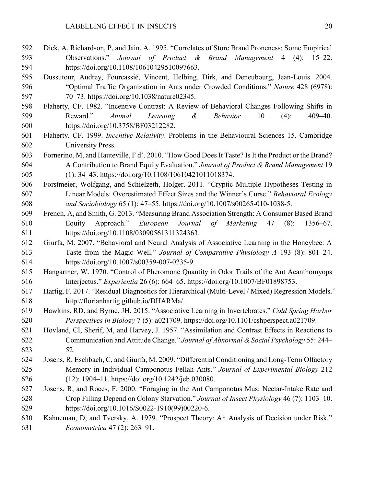- Dick, A, Richardson, P, and Jain, A. 1995. "Correlates of Store Brand Proneness: Some Empirical Observations." *Journal of Product & Brand Management* 4 (4): 15–22. https://doi.org/10.1108/10610429510097663.
- Dussutour, Audrey, Fourcassié, Vincent, Helbing, Dirk, and Deneubourg, Jean-Louis. 2004. "Optimal Traffic Organization in Ants under Crowded Conditions." *Nature* 428 (6978): 70–73. https://doi.org/10.1038/nature02345.
- Flaherty, CF. 1982. "Incentive Contrast: A Review of Behavioral Changes Following Shifts in Reward." *Animal Learning & Behavior* 10 (4): 409–40. https://doi.org/10.3758/BF03212282.
- Flaherty, CF. 1999. *Incentive Relativity*. Problems in the Behavioural Sciences 15. Cambridge University Press.
- Fornerino, M, and Hauteville, F d'. 2010. "How Good Does It Taste? Is It the Product or the Brand? A Contribution to Brand Equity Evaluation." *Journal of Product & Brand Management* 19 (1): 34–43. https://doi.org/10.1108/10610421011018374.
- Forstmeier, Wolfgang, and Schielzeth, Holger. 2011. "Cryptic Multiple Hypotheses Testing in Linear Models: Overestimated Effect Sizes and the Winner's Curse." *Behavioral Ecology and Sociobiology* 65 (1): 47–55. https://doi.org/10.1007/s00265-010-1038-5.
- French, A, and Smith, G. 2013. "Measuring Brand Association Strength: A Consumer Based Brand Equity Approach." *European Journal of Marketing* 47 (8): 1356–67. https://doi.org/10.1108/03090561311324363.
- Giurfa, M. 2007. "Behavioral and Neural Analysis of Associative Learning in the Honeybee: A Taste from the Magic Well." *Journal of Comparative Physiology A* 193 (8): 801–24. https://doi.org/10.1007/s00359-007-0235-9.
- Hangartner, W. 1970. "Control of Pheromone Quantity in Odor Trails of the Ant Acanthomyops Interjectus." *Experientia* 26 (6): 664–65. https://doi.org/10.1007/BF01898753.
- Hartig, F. 2017. "Residual Diagnostics for Hierarchical (Multi-Level / Mixed) Regression Models." http://florianhartig.github.io/DHARMa/.
- Hawkins, RD, and Byrne, JH. 2015. "Associative Learning in Invertebrates." *Cold Spring Harbor Perspectives in Biology* 7 (5): a021709. https://doi.org/10.1101/cshperspect.a021709.
- Hovland, CI, Sherif, M, and Harvey, J. 1957. "Assimilation and Contrast Effects in Reactions to Communication and Attitude Change." *Journal of Abnormal & Social Psychology* 55: 244– 52.
- Josens, R, Eschbach, C, and Giurfa, M. 2009. "Differential Conditioning and Long-Term Olfactory Memory in Individual Camponotus Fellah Ants." *Journal of Experimental Biology* 212 (12): 1904–11. https://doi.org/10.1242/jeb.030080.
- Josens, R, and Roces, F. 2000. "Foraging in the Ant Camponotus Mus: Nectar-Intake Rate and Crop Filling Depend on Colony Starvation." *Journal of Insect Physiology* 46 (7): 1103–10. https://doi.org/10.1016/S0022-1910(99)00220-6.
- Kahneman, D, and Tversky, A. 1979. "Prospect Theory: An Analysis of Decision under Risk." *Econometrica* 47 (2): 263–91.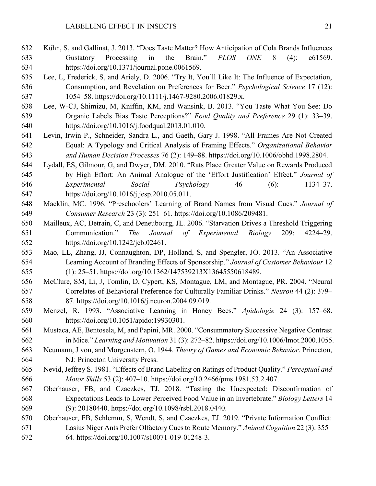- Kühn, S, and Gallinat, J. 2013. "Does Taste Matter? How Anticipation of Cola Brands Influences Gustatory Processing in the Brain." *PLOS ONE* 8 (4): e61569. https://doi.org/10.1371/journal.pone.0061569.
- Lee, L, Frederick, S, and Ariely, D. 2006. "Try It, You'll Like It: The Influence of Expectation, Consumption, and Revelation on Preferences for Beer." *Psychological Science* 17 (12): 1054–58. https://doi.org/10.1111/j.1467-9280.2006.01829.x.
- Lee, W-CJ, Shimizu, M, Kniffin, KM, and Wansink, B. 2013. "You Taste What You See: Do Organic Labels Bias Taste Perceptions?" *Food Quality and Preference* 29 (1): 33–39. https://doi.org/10.1016/j.foodqual.2013.01.010.
- Levin, Irwin P., Schneider, Sandra L., and Gaeth, Gary J. 1998. "All Frames Are Not Created Equal: A Typology and Critical Analysis of Framing Effects." *Organizational Behavior and Human Decision Processes* 76 (2): 149–88. https://doi.org/10.1006/obhd.1998.2804.
- Lydall, ES, Gilmour, G, and Dwyer, DM. 2010. "Rats Place Greater Value on Rewards Produced by High Effort: An Animal Analogue of the 'Effort Justification' Effect." *Journal of Experimental Social Psychology* 46 (6): 1134–37. https://doi.org/10.1016/j.jesp.2010.05.011.
- Macklin, MC. 1996. "Preschoolers' Learning of Brand Names from Visual Cues." *Journal of Consumer Research* 23 (3): 251–61. https://doi.org/10.1086/209481.
- Mailleux, AC, Detrain, C, and Deneubourg, JL. 2006. "Starvation Drives a Threshold Triggering Communication." *The Journal of Experimental Biology* 209: 4224–29. https://doi.org/10.1242/jeb.02461.
- Mao, LL, Zhang, JJ, Connaughton, DP, Holland, S, and Spengler, JO. 2013. "An Associative Learning Account of Branding Effects of Sponsorship." *Journal of Customer Behaviour* 12 (1): 25–51. https://doi.org/10.1362/147539213X13645550618489.
- McClure, SM, Li, J, Tomlin, D, Cypert, KS, Montague, LM, and Montague, PR. 2004. "Neural Correlates of Behavioral Preference for Culturally Familiar Drinks." *Neuron* 44 (2): 379– 87. https://doi.org/10.1016/j.neuron.2004.09.019.
- Menzel, R. 1993. "Associative Learning in Honey Bees." *Apidologie* 24 (3): 157–68. https://doi.org/10.1051/apido:19930301.
- Mustaca, AE, Bentosela, M, and Papini, MR. 2000. "Consummatory Successive Negative Contrast in Mice." *Learning and Motivation* 31 (3): 272–82. https://doi.org/10.1006/lmot.2000.1055.
- Neumann, J von, and Morgenstern, O. 1944. *Theory of Games and Economic Behavior*. Princeton, NJ: Princeton University Press.
- Nevid, Jeffrey S. 1981. "Effects of Brand Labeling on Ratings of Product Quality." *Perceptual and Motor Skills* 53 (2): 407–10. https://doi.org/10.2466/pms.1981.53.2.407.
- Oberhauser, FB, and Czaczkes, TJ. 2018. "Tasting the Unexpected: Disconfirmation of Expectations Leads to Lower Perceived Food Value in an Invertebrate." *Biology Letters* 14 (9): 20180440. https://doi.org/10.1098/rsbl.2018.0440.
- Oberhauser, FB, Schlemm, S, Wendt, S, and Czaczkes, TJ. 2019. "Private Information Conflict: Lasius Niger Ants Prefer Olfactory Cues to Route Memory." *Animal Cognition* 22 (3): 355– 64. https://doi.org/10.1007/s10071-019-01248-3.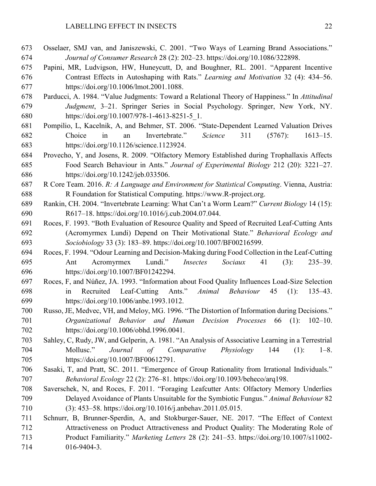- Osselaer, SMJ van, and Janiszewski, C. 2001. "Two Ways of Learning Brand Associations." *Journal of Consumer Research* 28 (2): 202–23. https://doi.org/10.1086/322898.
- Papini, MR, Ludvigson, HW, Huneycutt, D, and Boughner, RL. 2001. "Apparent Incentive Contrast Effects in Autoshaping with Rats." *Learning and Motivation* 32 (4): 434–56. https://doi.org/10.1006/lmot.2001.1088.
- Parducci, A. 1984. "Value Judgments: Toward a Relational Theory of Happiness." In *Attitudinal Judgment*, 3–21. Springer Series in Social Psychology. Springer, New York, NY. https://doi.org/10.1007/978-1-4613-8251-5\_1.
- Pompilio, L, Kacelnik, A, and Behmer, ST. 2006. "State-Dependent Learned Valuation Drives Choice in an Invertebrate." *Science* 311 (5767): 1613–15. https://doi.org/10.1126/science.1123924.
- Provecho, Y, and Josens, R. 2009. "Olfactory Memory Established during Trophallaxis Affects Food Search Behaviour in Ants." *Journal of Experimental Biology* 212 (20): 3221–27. https://doi.org/10.1242/jeb.033506.
- R Core Team. 2016. *R: A Language and Environment for Statistical Computing*. Vienna, Austria: R Foundation for Statistical Computing. https://www.R-project.org.
- Rankin, CH. 2004. "Invertebrate Learning: What Can't a Worm Learn?" *Current Biology* 14 (15): R617–18. https://doi.org/10.1016/j.cub.2004.07.044.
- Roces, F. 1993. "Both Evaluation of Resource Quality and Speed of Recruited Leaf-Cutting Ants (Acromyrmex Lundi) Depend on Their Motivational State." *Behavioral Ecology and Sociobiology* 33 (3): 183–89. https://doi.org/10.1007/BF00216599.
- Roces, F. 1994. "Odour Learning and Decision-Making during Food Collection in the Leaf-Cutting Ant Acromyrmex Lundi." *Insectes Sociaux* 41 (3): 235–39. https://doi.org/10.1007/BF01242294.
- Roces, F, and Núñez, JA. 1993. "Information about Food Quality Influences Load-Size Selection in Recruited Leaf-Cutting Ants." *Animal Behaviour* 45 (1): 135–43. https://doi.org/10.1006/anbe.1993.1012.
- Russo, JE, Medvec, VH, and Meloy, MG. 1996. "The Distortion of Information during Decisions." *Organizational Behavior and Human Decision Processes* 66 (1): 102–10. https://doi.org/10.1006/obhd.1996.0041.
- Sahley, C, Rudy, JW, and Gelperin, A. 1981. "An Analysis of Associative Learning in a Terrestrial Mollusc." *Journal of Comparative Physiology* 144 (1): 1–8. https://doi.org/10.1007/BF00612791.
- Sasaki, T, and Pratt, SC. 2011. "Emergence of Group Rationality from Irrational Individuals." *Behavioral Ecology* 22 (2): 276–81. https://doi.org/10.1093/beheco/arq198.
- Saverschek, N, and Roces, F. 2011. "Foraging Leafcutter Ants: Olfactory Memory Underlies Delayed Avoidance of Plants Unsuitable for the Symbiotic Fungus." *Animal Behaviour* 82 (3): 453–58. https://doi.org/10.1016/j.anbehav.2011.05.015.
- Schnurr, B, Brunner-Sperdin, A, and Stokburger-Sauer, NE. 2017. "The Effect of Context Attractiveness on Product Attractiveness and Product Quality: The Moderating Role of Product Familiarity." *Marketing Letters* 28 (2): 241–53. https://doi.org/10.1007/s11002- 016-9404-3.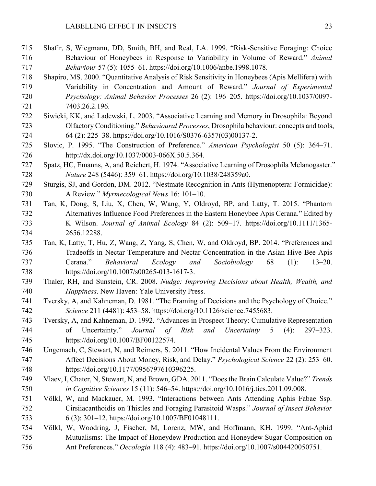- Shafir, S, Wiegmann, DD, Smith, BH, and Real, LA. 1999. "Risk-Sensitive Foraging: Choice Behaviour of Honeybees in Response to Variability in Volume of Reward." *Animal Behaviour* 57 (5): 1055–61. https://doi.org/10.1006/anbe.1998.1078.
- Shapiro, MS. 2000. "Quantitative Analysis of Risk Sensitivity in Honeybees (Apis Mellifera) with Variability in Concentration and Amount of Reward." *Journal of Experimental Psychology: Animal Behavior Processes* 26 (2): 196–205. https://doi.org/10.1037/0097- 7403.26.2.196.
- Siwicki, KK, and Ladewski, L. 2003. "Associative Learning and Memory in Drosophila: Beyond Olfactory Conditioning." *Behavioural Processes*, Drosophila behaviour: concepts and tools, 64 (2): 225–38. https://doi.org/10.1016/S0376-6357(03)00137-2.
- Slovic, P. 1995. "The Construction of Preference." *American Psychologist* 50 (5): 364–71. http://dx.doi.org/10.1037/0003-066X.50.5.364.
- Spatz, HC, Emanns, A, and Reichert, H. 1974. "Associative Learning of Drosophila Melanogaster." *Nature* 248 (5446): 359–61. https://doi.org/10.1038/248359a0.
- Sturgis, SJ, and Gordon, DM. 2012. "Nestmate Recognition in Ants (Hymenoptera: Formicidae): A Review." *Myrmecological News* 16: 101–10.
- Tan, K, Dong, S, Liu, X, Chen, W, Wang, Y, Oldroyd, BP, and Latty, T. 2015. "Phantom Alternatives Influence Food Preferences in the Eastern Honeybee Apis Cerana." Edited by K Wilson. *Journal of Animal Ecology* 84 (2): 509–17. https://doi.org/10.1111/1365- 2656.12288.
- Tan, K, Latty, T, Hu, Z, Wang, Z, Yang, S, Chen, W, and Oldroyd, BP. 2014. "Preferences and Tradeoffs in Nectar Temperature and Nectar Concentration in the Asian Hive Bee Apis Cerana." *Behavioral Ecology and Sociobiology* 68 (1): 13–20. https://doi.org/10.1007/s00265-013-1617-3.
- Thaler, RH, and Sunstein, CR. 2008. *Nudge: Improving Decisions about Health, Wealth, and Happiness*. New Haven: Yale University Press.
- Tversky, A, and Kahneman, D. 1981. "The Framing of Decisions and the Psychology of Choice." *Science* 211 (4481): 453–58. https://doi.org/10.1126/science.7455683.
- Tversky, A, and Kahneman, D. 1992. "Advances in Prospect Theory: Cumulative Representation of Uncertainty." *Journal of Risk and Uncertainty* 5 (4): 297–323. https://doi.org/10.1007/BF00122574.
- Ungemach, C, Stewart, N, and Reimers, S. 2011. "How Incidental Values From the Environment Affect Decisions About Money, Risk, and Delay." *Psychological Science* 22 (2): 253–60. https://doi.org/10.1177/0956797610396225.
- Vlaev, I, Chater, N, Stewart, N, and Brown, GDA. 2011. "Does the Brain Calculate Value?" *Trends in Cognitive Sciences* 15 (11): 546–54. https://doi.org/10.1016/j.tics.2011.09.008.
- Völkl, W, and Mackauer, M. 1993. "Interactions between Ants Attending Aphis Fabae Ssp. Cirsiiacanthoidis on Thistles and Foraging Parasitoid Wasps." *Journal of Insect Behavior* 6 (3): 301–12. https://doi.org/10.1007/BF01048111.
- Völkl, W, Woodring, J, Fischer, M, Lorenz, MW, and Hoffmann, KH. 1999. "Ant-Aphid Mutualisms: The Impact of Honeydew Production and Honeydew Sugar Composition on Ant Preferences." *Oecologia* 118 (4): 483–91. https://doi.org/10.1007/s004420050751.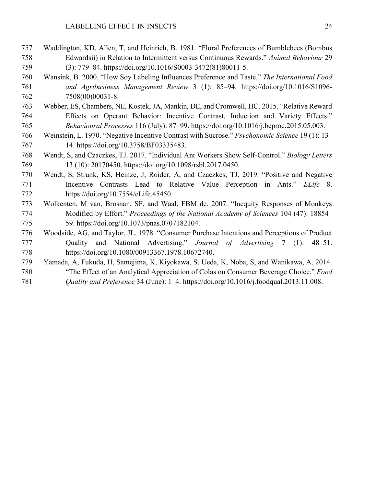- Waddington, KD, Allen, T, and Heinrich, B. 1981. "Floral Preferences of Bumblebees (Bombus Edwardsii) in Relation to Intermittent versus Continuous Rewards." *Animal Behaviour* 29 (3): 779–84. https://doi.org/10.1016/S0003-3472(81)80011-5.
- Wansink, B. 2000. "How Soy Labeling Influences Preference and Taste." *The International Food and Agribusiness Management Review* 3 (1): 85–94. https://doi.org/10.1016/S1096- 7508(00)00031-8.
- Webber, ES, Chambers, NE, Kostek, JA, Mankin, DE, and Cromwell, HC. 2015. "Relative Reward Effects on Operant Behavior: Incentive Contrast, Induction and Variety Effects." *Behavioural Processes* 116 (July): 87–99. https://doi.org/10.1016/j.beproc.2015.05.003.
- Weinstein, L. 1970. "Negative Incentive Contrast with Sucrose." *Psychonomic Science* 19 (1): 13– 14. https://doi.org/10.3758/BF03335483.
- Wendt, S, and Czaczkes, TJ. 2017. "Individual Ant Workers Show Self-Control." *Biology Letters* 13 (10): 20170450. https://doi.org/10.1098/rsbl.2017.0450.
- Wendt, S, Strunk, KS, Heinze, J, Roider, A, and Czaczkes, TJ. 2019. "Positive and Negative Incentive Contrasts Lead to Relative Value Perception in Ants." *ELife* 8. https://doi.org/10.7554/eLife.45450.
- Wolkenten, M van, Brosnan, SF, and Waal, FBM de. 2007. "Inequity Responses of Monkeys Modified by Effort." *Proceedings of the National Academy of Sciences* 104 (47): 18854– 59. https://doi.org/10.1073/pnas.0707182104.
- Woodside, AG, and Taylor, JL. 1978. "Consumer Purchase Intentions and Perceptions of Product Quality and National Advertising." *Journal of Advertising* 7 (1): 48–51. https://doi.org/10.1080/00913367.1978.10672740.
- Yamada, A, Fukuda, H, Samejima, K, Kiyokawa, S, Ueda, K, Noba, S, and Wanikawa, A. 2014. "The Effect of an Analytical Appreciation of Colas on Consumer Beverage Choice." *Food Quality and Preference* 34 (June): 1–4. https://doi.org/10.1016/j.foodqual.2013.11.008.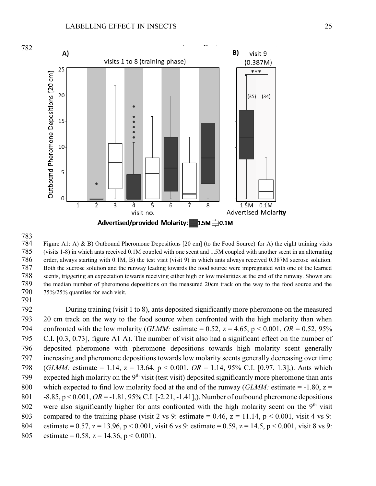

Figure A1: A) & B) Outbound Pheromone Depositions  $[20 \text{ cm}]$  (to the Food Source) for A) the eight training visits (visits 1-8) in which ants received 0.1M coupled with one scent and 1.5M coupled with another scent in an alternating order, always starting with 0.1M, B) the test visit (visit 9) in which ants always received 0.387M sucrose solution. Both the sucrose solution and the runway leading towards the food source were impregnated with one of the learned scents, triggering an expectation towards receiving either high or low molarities at the end of the runway. Shown are the median number of pheromone depositions on the measured 20cm track on the way to the food source and the 75%/25% quantiles for each visit.

 During training (visit 1 to 8), ants deposited significantly more pheromone on the measured 20 cm track on the way to the food source when confronted with the high molarity than when 794 confronted with the low molarity (*GLMM*: estimate = 0.52,  $z = 4.65$ ,  $p \le 0.001$ ,  $OR = 0.52$ , 95% C.I. [0.3, 0.73], figure A1 A). The number of visit also had a significant effect on the number of deposited pheromone with pheromone depositions towards high molarity scent generally increasing and pheromone depositions towards low molarity scents generally decreasing over time (*GLMM:* estimate = 1.14, z = 13.64, p < 0.001, *OR* = 1.14, 95% C.I. [0.97, 1.3],). Ants which 799 expected high molarity on the 9<sup>th</sup> visit (test visit) deposited significantly more pheromone than ants which expected to find low molarity food at the end of the runway (*GLMM:* estimate = -1.80, z = -8.85, p < 0.001, *OR* = -1.81, 95% C.I. [-2.21, -1.41],). Number of outbound pheromone depositions 802 were also significantly higher for ants confronted with the high molarity scent on the  $9<sup>th</sup>$  visit 803 compared to the training phase (visit 2 vs 9: estimate = 0.46,  $z = 11.14$ ,  $p \le 0.001$ , visit 4 vs 9: 804 estimate = 0.57, z = 13.96, p < 0.001, visit 6 vs 9: estimate = 0.59, z = 14.5, p < 0.001, visit 8 vs 9: 805 estimate = 0.58,  $z = 14.36$ ,  $p < 0.001$ ).